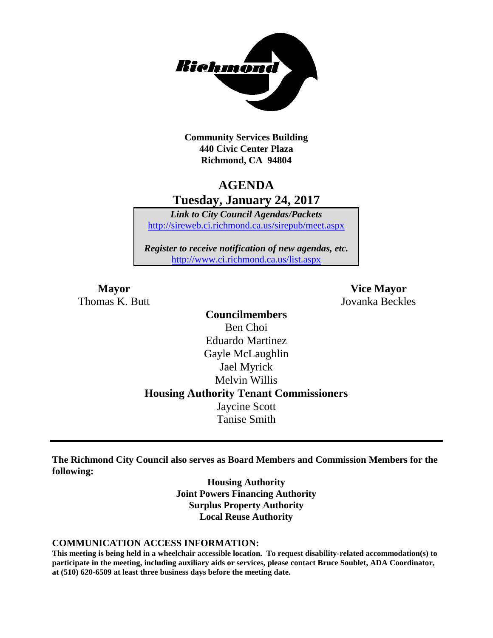

**Community Services Building 440 Civic Center Plaza Richmond, CA 94804**

# **AGENDA Tuesday, January 24, 2017**

*Link to City Council Agendas/Packets* <http://sireweb.ci.richmond.ca.us/sirepub/meet.aspx>

*Register to receive notification of new agendas, etc.* <http://www.ci.richmond.ca.us/list.aspx>

Thomas K. Butt Jovanka Beckles

**Mayor Vice Mayor**

**Councilmembers** Ben Choi Eduardo Martinez Gayle McLaughlin Jael Myrick Melvin Willis **Housing Authority Tenant Commissioners** Jaycine Scott Tanise Smith

**The Richmond City Council also serves as Board Members and Commission Members for the following:**

> **Housing Authority Joint Powers Financing Authority Surplus Property Authority Local Reuse Authority**

#### **COMMUNICATION ACCESS INFORMATION:**

**This meeting is being held in a wheelchair accessible location. To request disability-related accommodation(s) to participate in the meeting, including auxiliary aids or services, please contact Bruce Soublet, ADA Coordinator, at (510) 620-6509 at least three business days before the meeting date.**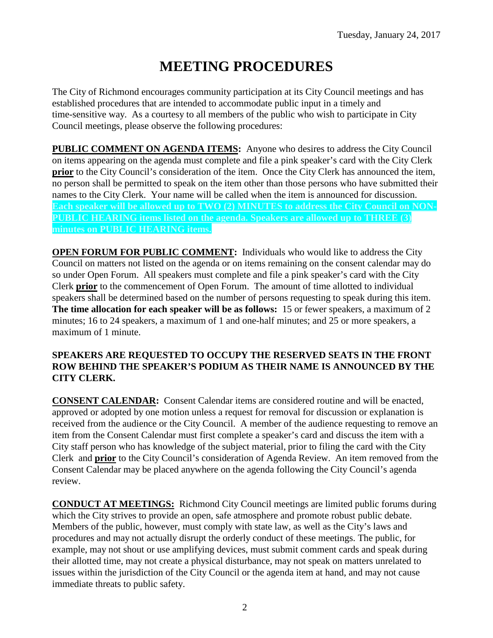# **MEETING PROCEDURES**

The City of Richmond encourages community participation at its City Council meetings and has established procedures that are intended to accommodate public input in a timely and time-sensitive way. As a courtesy to all members of the public who wish to participate in City Council meetings, please observe the following procedures:

**PUBLIC COMMENT ON AGENDA ITEMS:** Anyone who desires to address the City Council on items appearing on the agenda must complete and file a pink speaker's card with the City Clerk **prior** to the City Council's consideration of the item. Once the City Clerk has announced the item, no person shall be permitted to speak on the item other than those persons who have submitted their names to the City Clerk. Your name will be called when the item is announced for discussion. **Each speaker will be allowed up to TWO (2) MINUTES to address the City Council on NON-PUBLIC HEARING items listed on the agenda. Speakers are allowed up to THREE (3) minutes on PUBLIC HEARING items.**

**OPEN FORUM FOR PUBLIC COMMENT:** Individuals who would like to address the City Council on matters not listed on the agenda or on items remaining on the consent calendar may do so under Open Forum. All speakers must complete and file a pink speaker's card with the City Clerk **prior** to the commencement of Open Forum. The amount of time allotted to individual speakers shall be determined based on the number of persons requesting to speak during this item. **The time allocation for each speaker will be as follows:** 15 or fewer speakers, a maximum of 2 minutes; 16 to 24 speakers, a maximum of 1 and one-half minutes; and 25 or more speakers, a maximum of 1 minute.

#### **SPEAKERS ARE REQUESTED TO OCCUPY THE RESERVED SEATS IN THE FRONT ROW BEHIND THE SPEAKER'S PODIUM AS THEIR NAME IS ANNOUNCED BY THE CITY CLERK.**

**CONSENT CALENDAR:** Consent Calendar items are considered routine and will be enacted, approved or adopted by one motion unless a request for removal for discussion or explanation is received from the audience or the City Council. A member of the audience requesting to remove an item from the Consent Calendar must first complete a speaker's card and discuss the item with a City staff person who has knowledge of the subject material, prior to filing the card with the City Clerk and **prior** to the City Council's consideration of Agenda Review. An item removed from the Consent Calendar may be placed anywhere on the agenda following the City Council's agenda review.

**CONDUCT AT MEETINGS:** Richmond City Council meetings are limited public forums during which the City strives to provide an open, safe atmosphere and promote robust public debate. Members of the public, however, must comply with state law, as well as the City's laws and procedures and may not actually disrupt the orderly conduct of these meetings. The public, for example, may not shout or use amplifying devices, must submit comment cards and speak during their allotted time, may not create a physical disturbance, may not speak on matters unrelated to issues within the jurisdiction of the City Council or the agenda item at hand, and may not cause immediate threats to public safety.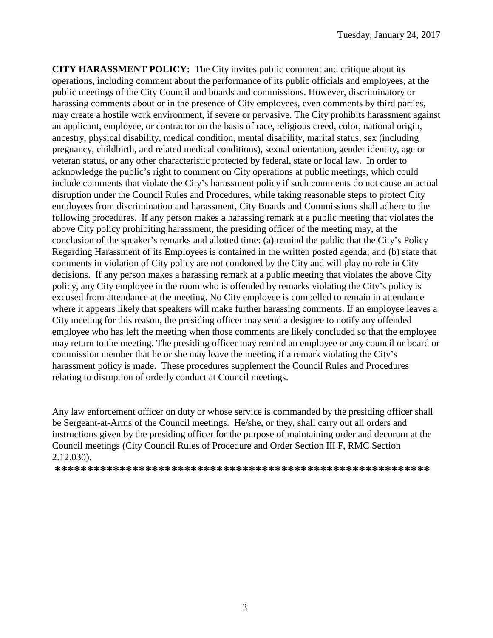**CITY HARASSMENT POLICY:** The City invites public comment and critique about its operations, including comment about the performance of its public officials and employees, at the public meetings of the City Council and boards and commissions. However, discriminatory or harassing comments about or in the presence of City employees, even comments by third parties, may create a hostile work environment, if severe or pervasive. The City prohibits harassment against an applicant, employee, or contractor on the basis of race, religious creed, color, national origin, ancestry, physical disability, medical condition, mental disability, marital status, sex (including pregnancy, childbirth, and related medical conditions), sexual orientation, gender identity, age or veteran status, or any other characteristic protected by federal, state or local law. In order to acknowledge the public's right to comment on City operations at public meetings, which could include comments that violate the City's harassment policy if such comments do not cause an actual disruption under the Council Rules and Procedures, while taking reasonable steps to protect City employees from discrimination and harassment, City Boards and Commissions shall adhere to the following procedures. If any person makes a harassing remark at a public meeting that violates the above City policy prohibiting harassment, the presiding officer of the meeting may, at the conclusion of the speaker's remarks and allotted time: (a) remind the public that the City's Policy Regarding Harassment of its Employees is contained in the written posted agenda; and (b) state that comments in violation of City policy are not condoned by the City and will play no role in City decisions. If any person makes a harassing remark at a public meeting that violates the above City policy, any City employee in the room who is offended by remarks violating the City's policy is excused from attendance at the meeting. No City employee is compelled to remain in attendance where it appears likely that speakers will make further harassing comments. If an employee leaves a City meeting for this reason, the presiding officer may send a designee to notify any offended employee who has left the meeting when those comments are likely concluded so that the employee may return to the meeting. The presiding officer may remind an employee or any council or board or commission member that he or she may leave the meeting if a remark violating the City's harassment policy is made. These procedures supplement the Council Rules and Procedures relating to disruption of orderly conduct at Council meetings.

Any law enforcement officer on duty or whose service is commanded by the presiding officer shall be Sergeant-at-Arms of the Council meetings. He/she, or they, shall carry out all orders and instructions given by the presiding officer for the purpose of maintaining order and decorum at the Council meetings (City Council Rules of Procedure and Order Section III F, RMC Section 2.12.030).

**\*\*\*\*\*\*\*\*\*\*\*\*\*\*\*\*\*\*\*\*\*\*\*\*\*\*\*\*\*\*\*\*\*\*\*\*\*\*\*\*\*\*\*\*\*\*\*\*\*\*\*\*\*\*\*\*\*\***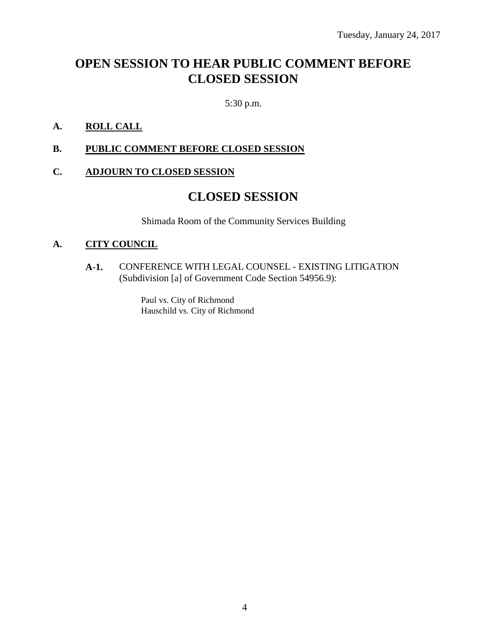# **OPEN SESSION TO HEAR PUBLIC COMMENT BEFORE CLOSED SESSION**

5:30 p.m.

## **A. ROLL CALL**

**B. PUBLIC COMMENT BEFORE CLOSED SESSION**

### **C. ADJOURN TO CLOSED SESSION**

# **CLOSED SESSION**

Shimada Room of the Community Services Building

#### **A. CITY COUNCIL**

**A-1.** CONFERENCE WITH LEGAL COUNSEL - EXISTING LITIGATION (Subdivision [a] of Government Code Section 54956.9):

> Paul vs. City of Richmond Hauschild vs. City of Richmond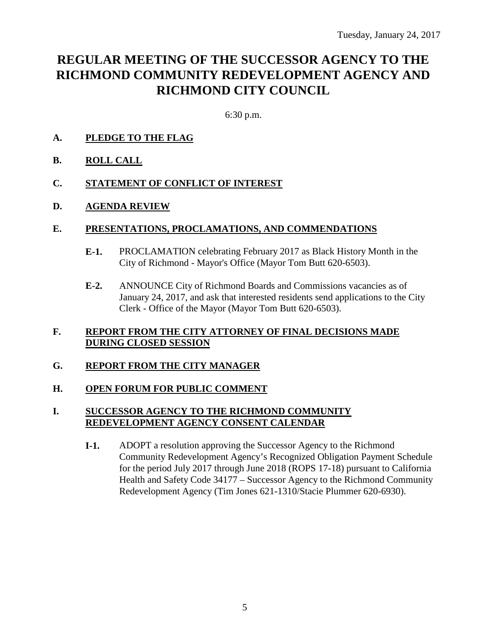# **REGULAR MEETING OF THE SUCCESSOR AGENCY TO THE RICHMOND COMMUNITY REDEVELOPMENT AGENCY AND RICHMOND CITY COUNCIL**

6:30 p.m.

## **A. PLEDGE TO THE FLAG**

**B. ROLL CALL**

#### **C. STATEMENT OF CONFLICT OF INTEREST**

#### **D. AGENDA REVIEW**

#### **E. PRESENTATIONS, PROCLAMATIONS, AND COMMENDATIONS**

- **E-1.** PROCLAMATION celebrating February 2017 as Black History Month in the City of Richmond - Mayor's Office (Mayor Tom Butt 620-6503).
- **E-2.** ANNOUNCE City of Richmond Boards and Commissions vacancies as of January 24, 2017, and ask that interested residents send applications to the City Clerk - Office of the Mayor (Mayor Tom Butt 620-6503).

#### **F. REPORT FROM THE CITY ATTORNEY OF FINAL DECISIONS MADE DURING CLOSED SESSION**

#### **G. REPORT FROM THE CITY MANAGER**

#### **H. OPEN FORUM FOR PUBLIC COMMENT**

#### **I. SUCCESSOR AGENCY TO THE RICHMOND COMMUNITY REDEVELOPMENT AGENCY CONSENT CALENDAR**

**I-1.** ADOPT a resolution approving the Successor Agency to the Richmond Community Redevelopment Agency's Recognized Obligation Payment Schedule for the period July 2017 through June 2018 (ROPS 17-18) pursuant to California Health and Safety Code 34177 – Successor Agency to the Richmond Community Redevelopment Agency (Tim Jones 621-1310/Stacie Plummer 620-6930).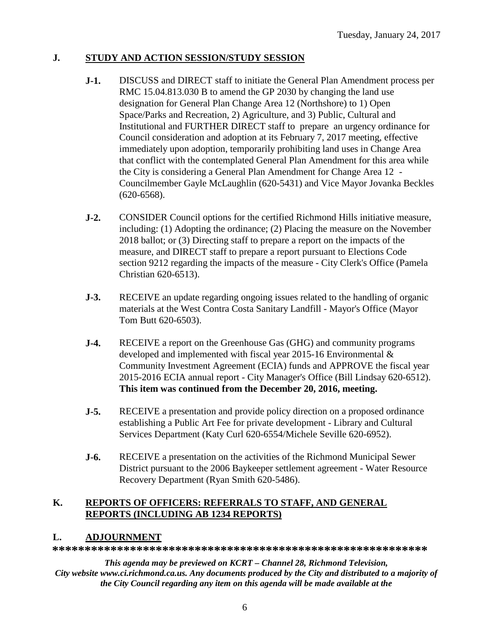# **J. STUDY AND ACTION SESSION/STUDY SESSION**

- **J-1.** DISCUSS and DIRECT staff to initiate the General Plan Amendment process per RMC 15.04.813.030 B to amend the GP 2030 by changing the land use designation for General Plan Change Area 12 (Northshore) to 1) Open Space/Parks and Recreation, 2) Agriculture, and 3) Public, Cultural and Institutional and FURTHER DIRECT staff to prepare an urgency ordinance for Council consideration and adoption at its February 7, 2017 meeting, effective immediately upon adoption, temporarily prohibiting land uses in Change Area that conflict with the contemplated General Plan Amendment for this area while the City is considering a General Plan Amendment for Change Area 12 - Councilmember Gayle McLaughlin (620-5431) and Vice Mayor Jovanka Beckles (620-6568).
- **J-2.** CONSIDER Council options for the certified Richmond Hills initiative measure, including: (1) Adopting the ordinance; (2) Placing the measure on the November 2018 ballot; or (3) Directing staff to prepare a report on the impacts of the measure, and DIRECT staff to prepare a report pursuant to Elections Code section 9212 regarding the impacts of the measure - City Clerk's Office (Pamela Christian 620-6513).
- **J-3.** RECEIVE an update regarding ongoing issues related to the handling of organic materials at the West Contra Costa Sanitary Landfill - Mayor's Office (Mayor Tom Butt 620-6503).
- **J-4.** RECEIVE a report on the Greenhouse Gas (GHG) and community programs developed and implemented with fiscal year 2015-16 Environmental & Community Investment Agreement (ECIA) funds and APPROVE the fiscal year 2015-2016 ECIA annual report - City Manager's Office (Bill Lindsay 620-6512). **This item was continued from the December 20, 2016, meeting.**
- **J-5.** RECEIVE a presentation and provide policy direction on a proposed ordinance establishing a Public Art Fee for private development - Library and Cultural Services Department (Katy Curl 620-6554/Michele Seville 620-6952).
- **J-6.** RECEIVE a presentation on the activities of the Richmond Municipal Sewer District pursuant to the 2006 Baykeeper settlement agreement - Water Resource Recovery Department (Ryan Smith 620-5486).

### **K. REPORTS OF OFFICERS: REFERRALS TO STAFF, AND GENERAL REPORTS (INCLUDING AB 1234 REPORTS)**

# **L. ADJOURNMENT**

**\*\*\*\*\*\*\*\*\*\*\*\*\*\*\*\*\*\*\*\*\*\*\*\*\*\*\*\*\*\*\*\*\*\*\*\*\*\*\*\*\*\*\*\*\*\*\*\*\*\*\*\*\*\*\*\*\*\***

*This agenda may be previewed on KCRT – Channel 28, Richmond Television, City website www.ci.richmond.ca.us. Any documents produced by the City and distributed to a majority of the City Council regarding any item on this agenda will be made available at the*